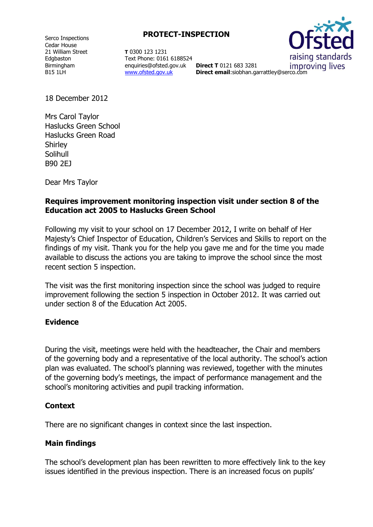Serco Inspections Cedar House 21 William Street Edgbaston Birmingham B15 1LH

**PROTECT-INSPECTION**

**T** 0300 123 1231 Text Phone: 0161 6188524 enquiries@ofsted.gov.uk **Direct T** 0121 683 3281 [www.ofsted.gov.uk](http://www.ofsted.gov.uk/)



**Direct email**:siobhan.garrattley@serco.com

18 December 2012

Mrs Carol Taylor Haslucks Green School Haslucks Green Road **Shirley** Solihull B90 2EJ

Dear Mrs Taylor

#### **Requires improvement monitoring inspection visit under section 8 of the Education act 2005 to Haslucks Green School**

Following my visit to your school on 17 December 2012, I write on behalf of Her Majesty's Chief Inspector of Education, Children's Services and Skills to report on the findings of my visit. Thank you for the help you gave me and for the time you made available to discuss the actions you are taking to improve the school since the most recent section 5 inspection.

The visit was the first monitoring inspection since the school was judged to require improvement following the section 5 inspection in October 2012. It was carried out under section 8 of the Education Act 2005.

#### **Evidence**

During the visit, meetings were held with the headteacher, the Chair and members of the governing body and a representative of the local authority. The school's action plan was evaluated. The school's planning was reviewed, together with the minutes of the governing body's meetings, the impact of performance management and the school's monitoring activities and pupil tracking information.

### **Context**

There are no significant changes in context since the last inspection.

### **Main findings**

The school's development plan has been rewritten to more effectively link to the key issues identified in the previous inspection. There is an increased focus on pupils'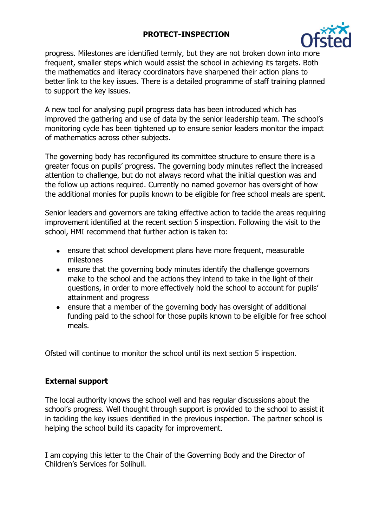## **PROTECT-INSPECTION**



progress. Milestones are identified termly, but they are not broken down into more frequent, smaller steps which would assist the school in achieving its targets. Both the mathematics and literacy coordinators have sharpened their action plans to better link to the key issues. There is a detailed programme of staff training planned to support the key issues.

A new tool for analysing pupil progress data has been introduced which has improved the gathering and use of data by the senior leadership team. The school's monitoring cycle has been tightened up to ensure senior leaders monitor the impact of mathematics across other subjects.

The governing body has reconfigured its committee structure to ensure there is a greater focus on pupils' progress. The governing body minutes reflect the increased attention to challenge, but do not always record what the initial question was and the follow up actions required. Currently no named governor has oversight of how the additional monies for pupils known to be eligible for free school meals are spent.

Senior leaders and governors are taking effective action to tackle the areas requiring improvement identified at the recent section 5 inspection. Following the visit to the school, HMI recommend that further action is taken to:

- ensure that school development plans have more frequent, measurable milestones
- ensure that the governing body minutes identify the challenge governors make to the school and the actions they intend to take in the light of their questions, in order to more effectively hold the school to account for pupils' attainment and progress
- ensure that a member of the governing body has oversight of additional funding paid to the school for those pupils known to be eligible for free school meals.

Ofsted will continue to monitor the school until its next section 5 inspection.

# **External support**

The local authority knows the school well and has regular discussions about the school's progress. Well thought through support is provided to the school to assist it in tackling the key issues identified in the previous inspection. The partner school is helping the school build its capacity for improvement.

I am copying this letter to the Chair of the Governing Body and the Director of Children's Services for Solihull.